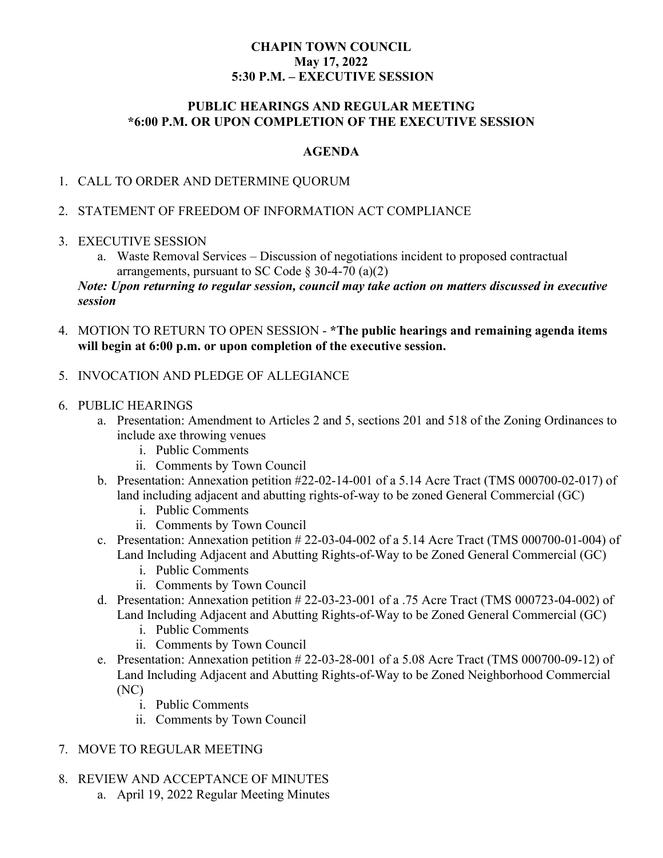### **CHAPIN TOWN COUNCIL May 17, 2022 5:30 P.M. – EXECUTIVE SESSION**

### **PUBLIC HEARINGS AND REGULAR MEETING \*6:00 P.M. OR UPON COMPLETION OF THE EXECUTIVE SESSION**

### **AGENDA**

# 1. CALL TO ORDER AND DETERMINE QUORUM

### 2. STATEMENT OF FREEDOM OF INFORMATION ACT COMPLIANCE

### 3. EXECUTIVE SESSION

a. Waste Removal Services – Discussion of negotiations incident to proposed contractual arrangements, pursuant to SC Code  $\S$  30-4-70 (a)(2)

*Note: Upon returning to regular session, council may take action on matters discussed in executive session*

4. MOTION TO RETURN TO OPEN SESSION - **\*The public hearings and remaining agenda items will begin at 6:00 p.m. or upon completion of the executive session.**

# 5. INVOCATION AND PLEDGE OF ALLEGIANCE

### 6. PUBLIC HEARINGS

- a. Presentation: Amendment to Articles 2 and 5, sections 201 and 518 of the Zoning Ordinances to include axe throwing venues
	- i. Public Comments
	- ii. Comments by Town Council
- b. Presentation: Annexation petition #22-02-14-001 of a 5.14 Acre Tract (TMS 000700-02-017) of land including adjacent and abutting rights-of-way to be zoned General Commercial (GC)
	- i. Public Comments
	- ii. Comments by Town Council
- c. Presentation: Annexation petition  $\# 22-03-04-002$  of a 5.14 Acre Tract (TMS 000700-01-004) of Land Including Adjacent and Abutting Rights-of-Way to be Zoned General Commercial (GC)
	- i. Public Comments
	- ii. Comments by Town Council
- d. Presentation: Annexation petition # 22-03-23-001 of a .75 Acre Tract (TMS 000723-04-002) of Land Including Adjacent and Abutting Rights-of-Way to be Zoned General Commercial (GC)
	- i. Public Comments
	- ii. Comments by Town Council
- e. Presentation: Annexation petition # 22-03-28-001 of a 5.08 Acre Tract (TMS 000700-09-12) of Land Including Adjacent and Abutting Rights-of-Way to be Zoned Neighborhood Commercial (NC)
	- i. Public Comments
	- ii. Comments by Town Council

# 7. MOVE TO REGULAR MEETING

- 8. REVIEW AND ACCEPTANCE OF MINUTES
	- a. April 19, 2022 Regular Meeting Minutes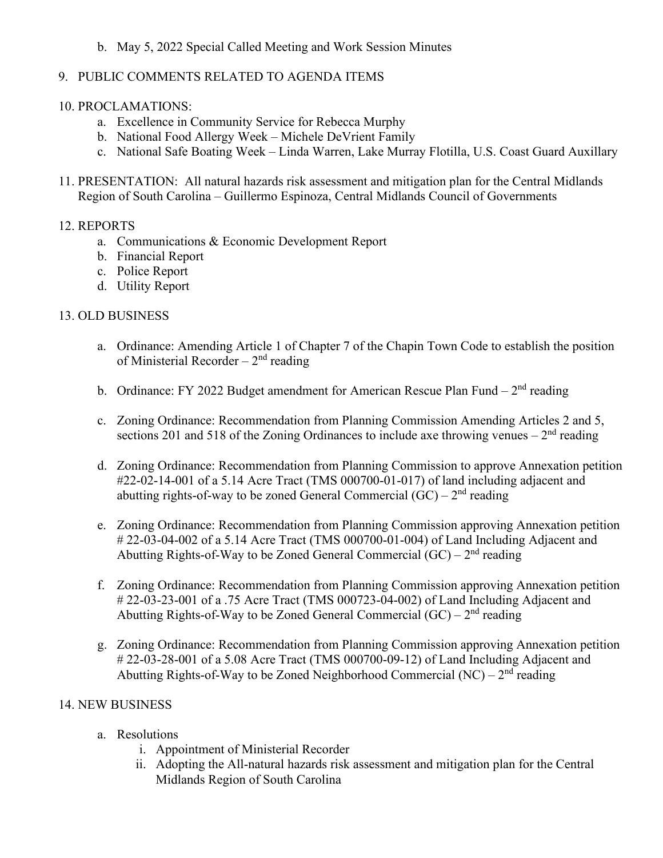### b. May 5, 2022 Special Called Meeting and Work Session Minutes

# 9. PUBLIC COMMENTS RELATED TO AGENDA ITEMS

## 10. PROCLAMATIONS:

- a. Excellence in Community Service for Rebecca Murphy
- b. National Food Allergy Week Michele DeVrient Family
- c. National Safe Boating Week Linda Warren, Lake Murray Flotilla, U.S. Coast Guard Auxillary
- 11. PRESENTATION: All natural hazards risk assessment and mitigation plan for the Central Midlands Region of South Carolina – Guillermo Espinoza, Central Midlands Council of Governments

# 12. REPORTS

- a. Communications & Economic Development Report
- b. Financial Report
- c. Police Report
- d. Utility Report

# 13. OLD BUSINESS

- a. Ordinance: Amending Article 1 of Chapter 7 of the Chapin Town Code to establish the position of Ministerial Recorder –  $2<sup>nd</sup>$  reading
- b. Ordinance: FY 2022 Budget amendment for American Rescue Plan Fund  $2<sup>nd</sup>$  reading
- c. Zoning Ordinance: Recommendation from Planning Commission Amending Articles 2 and 5, sections 201 and 518 of the Zoning Ordinances to include axe throwing venues –  $2<sup>nd</sup>$  reading
- d. Zoning Ordinance: Recommendation from Planning Commission to approve Annexation petition #22-02-14-001 of a 5.14 Acre Tract (TMS 000700-01-017) of land including adjacent and abutting rights-of-way to be zoned General Commercial  $(GC) - 2<sup>nd</sup>$  reading
- e. Zoning Ordinance: Recommendation from Planning Commission approving Annexation petition # 22-03-04-002 of a 5.14 Acre Tract (TMS 000700-01-004) of Land Including Adjacent and Abutting Rights-of-Way to be Zoned General Commercial  $(GC) - 2<sup>nd</sup>$  reading
- f. Zoning Ordinance: Recommendation from Planning Commission approving Annexation petition # 22-03-23-001 of a .75 Acre Tract (TMS 000723-04-002) of Land Including Adjacent and Abutting Rights-of-Way to be Zoned General Commercial  $(GC) - 2<sup>nd</sup>$  reading
- g. Zoning Ordinance: Recommendation from Planning Commission approving Annexation petition # 22-03-28-001 of a 5.08 Acre Tract (TMS 000700-09-12) of Land Including Adjacent and Abutting Rights-of-Way to be Zoned Neighborhood Commercial  $(NC) - 2<sup>nd</sup>$  reading

### 14. NEW BUSINESS

- a. Resolutions
	- i. Appointment of Ministerial Recorder
	- ii. Adopting the All-natural hazards risk assessment and mitigation plan for the Central Midlands Region of South Carolina